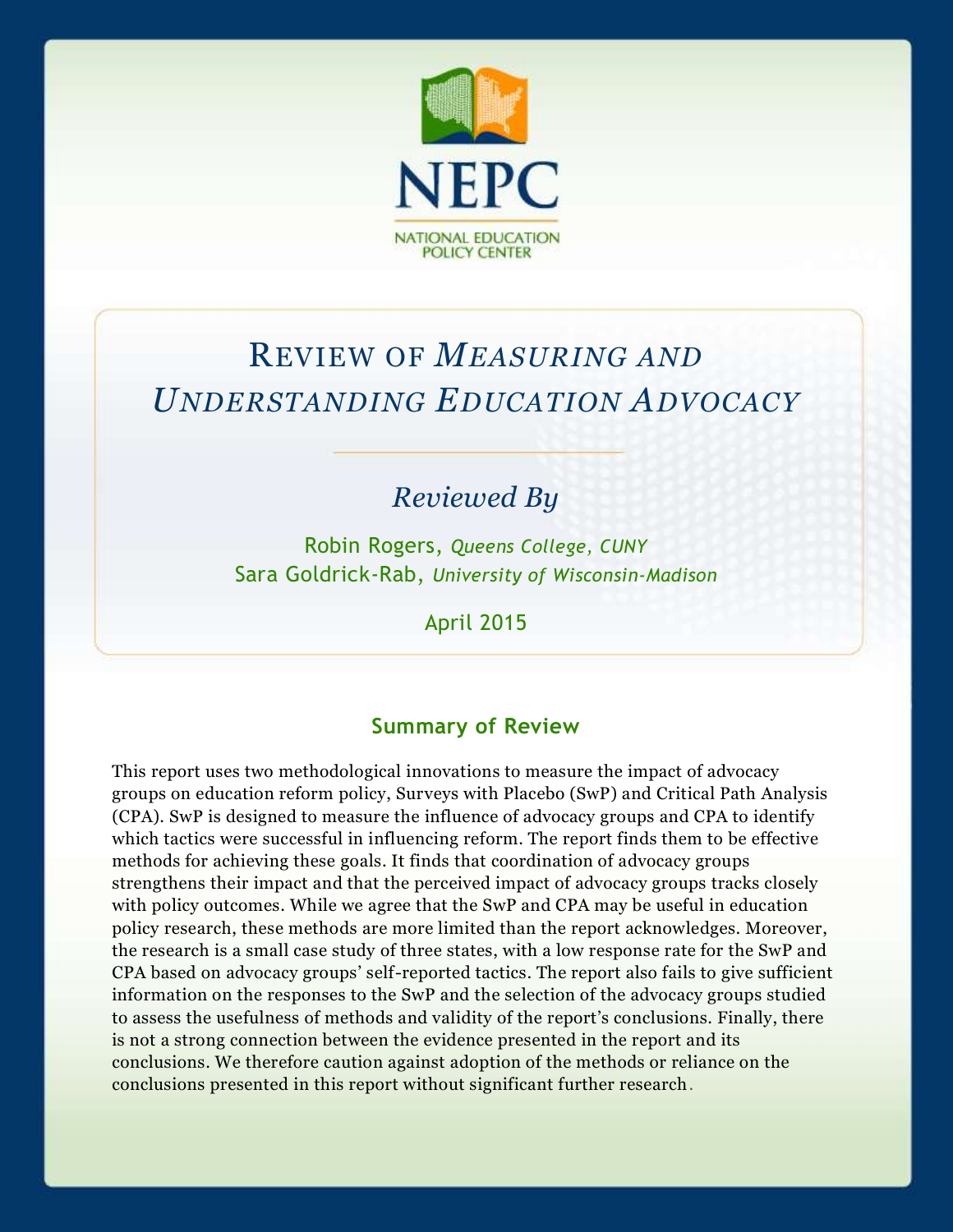

# REVIEW OF *MEASURING AND UNDERSTANDING EDUCATION ADVOCACY*

## *Reviewed By*

Robin Rogers, *Queens College, CUNY* Sara Goldrick-Rab, *University of Wisconsin-Madison*

April 2015

#### **Summary of Review**

This report uses two methodological innovations to measure the impact of advocacy groups on education reform policy, Surveys with Placebo (SwP) and Critical Path Analysis (CPA). SwP is designed to measure the influence of advocacy groups and CPA to identify which tactics were successful in influencing reform. The report finds them to be effective methods for achieving these goals. It finds that coordination of advocacy groups strengthens their impact and that the perceived impact of advocacy groups tracks closely with policy outcomes. While we agree that the SwP and CPA may be useful in education policy research, these methods are more limited than the report acknowledges. Moreover, the research is a small case study of three states, with a low response rate for the SwP and CPA based on advocacy groups' self-reported tactics. The report also fails to give sufficient information on the responses to the SwP and the selection of the advocacy groups studied to assess the usefulness of methods and validity of the report's conclusions. Finally, there is not a strong connection between the evidence presented in the report and its conclusions. We therefore caution against adoption of the methods or reliance on the conclusions presented in this report without significant further research.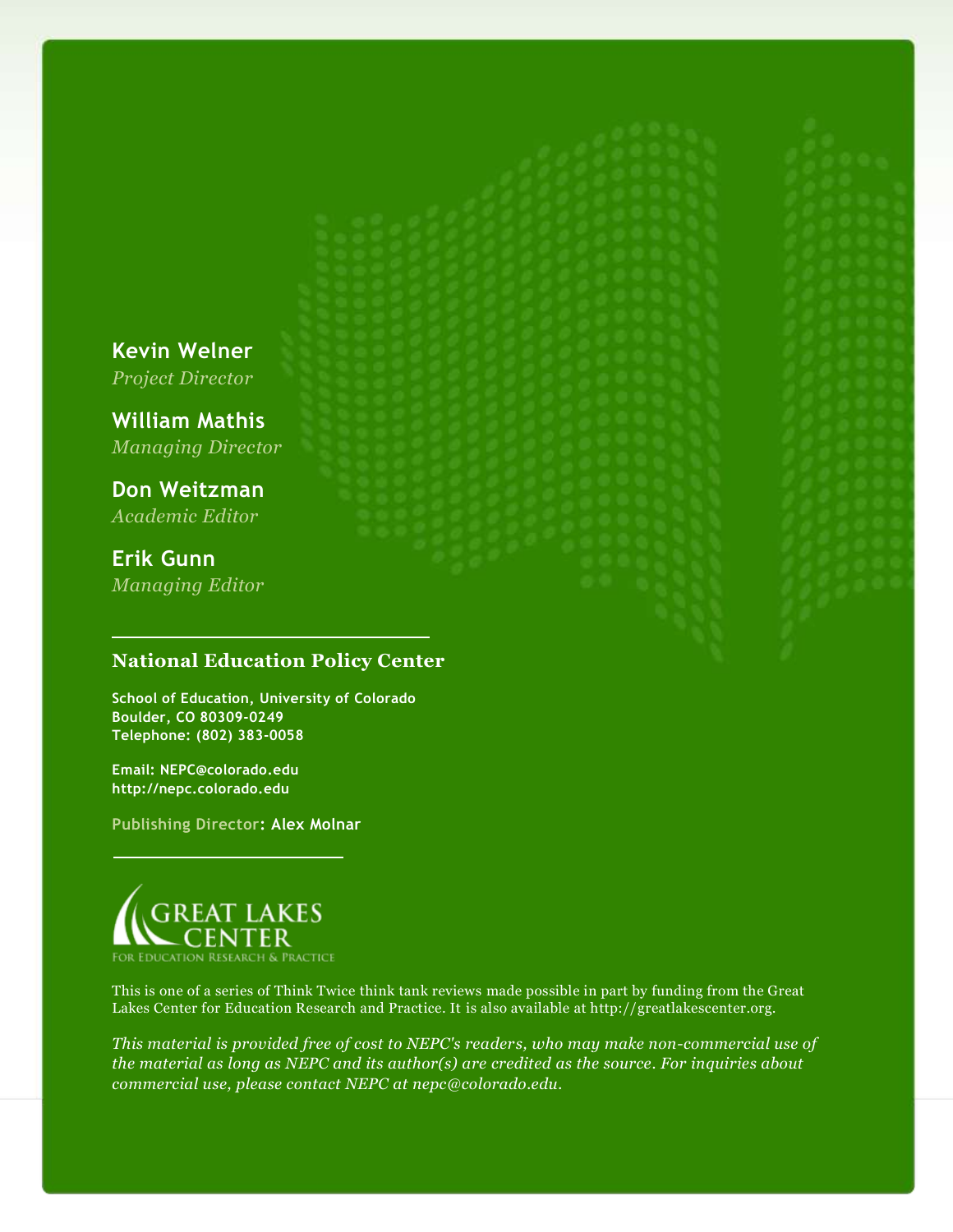**Kevin Welner** *Project Director*

**William Mathis** *Managing Director*

**Don Weitzman** *Academic Editor*

**Erik Gunn** *Managing Editor*

#### **National Education Policy Center**

**School of Education, University of Colorado Boulder, CO 80309-0249 Telephone: (802) 383-0058**

**Email: NEPC@colorado.edu http://nepc.colorado.edu**

**Publishing Director: Alex Molnar**



This is one of a series of Think Twice think tank reviews made possible in part by funding from the Great Lakes Center for Education Research and Practice. It is also available at http://greatlakescenter.org.

*This material is provided free of cost to NEPC's readers, who may make non-commercial use of the material as long as NEPC and its author(s) are credited as the source. For inquiries about commercial use, please contact NEPC at nepc@colorado.edu.*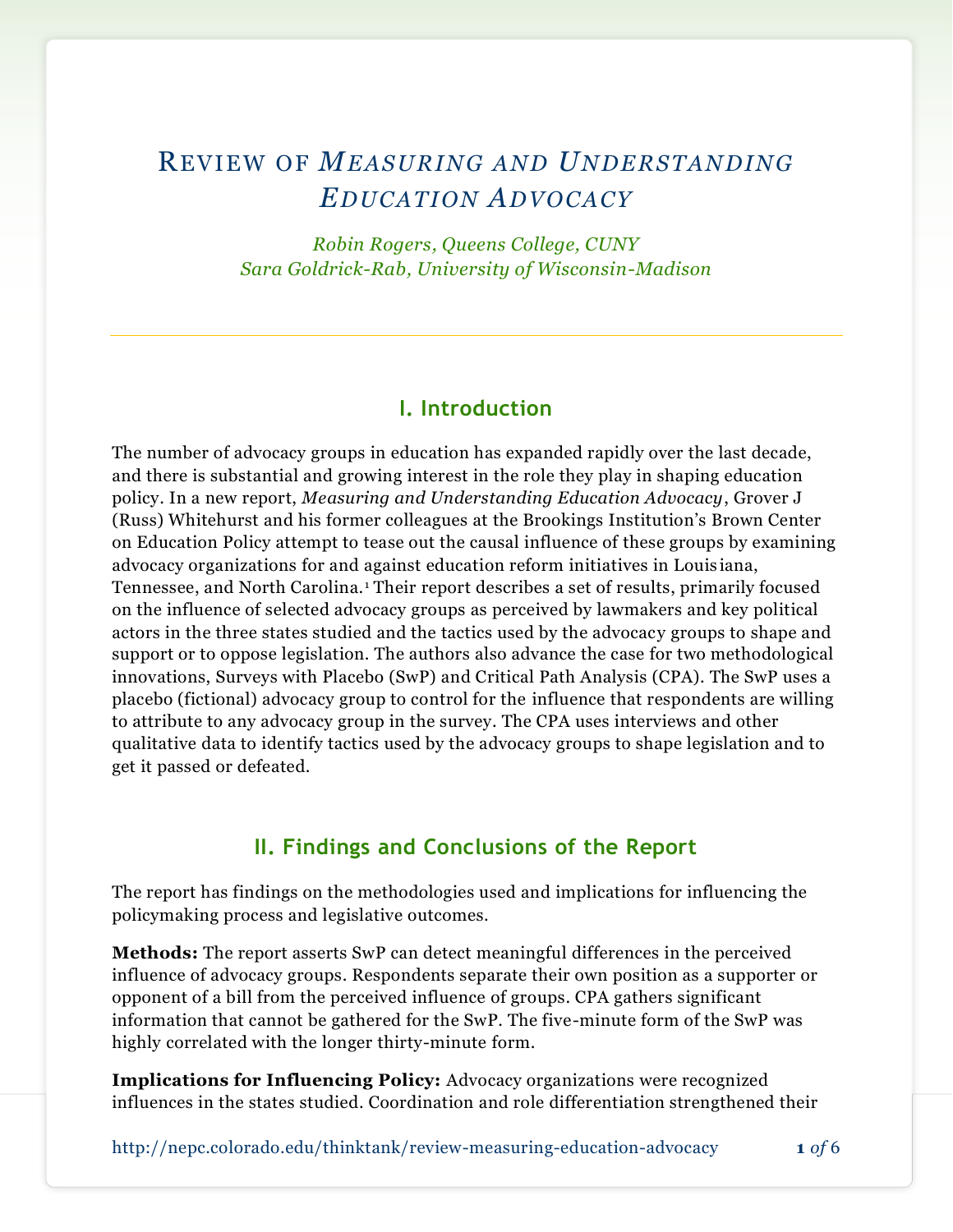## REVIEW O F *MEAS URING AND UNDERS TANDING EDUC ATION ADVOC ACY*

*Robin Rogers, Queens College, CUNY Sara Goldrick-Rab, University of Wisconsin-Madison*

#### **I. Introduction**

The number of advocacy groups in education has expanded rapidly over the last decade, and there is substantial and growing interest in the role they play in shaping education policy. In a new report, *Measuring and Understanding Education Advocacy*, Grover J (Russ) Whitehurst and his former colleagues at the Brookings Institution's Brown Center on Education Policy attempt to tease out the causal influence of these groups by examining advocacy organizations for and against education reform initiatives in Louis iana, Tennessee, and North Carolina. <sup>1</sup> Their report describes a set of results, primarily focused on the influence of selected advocacy groups as perceived by lawmakers and key political actors in the three states studied and the tactics used by the advocacy groups to shape and support or to oppose legislation. The authors also advance the case for two methodological innovations, Surveys with Placebo (SwP) and Critical Path Analysis (CPA). The SwP uses a placebo (fictional) advocacy group to control for the influence that respondents are willing to attribute to any advocacy group in the survey. The CPA uses interviews and other qualitative data to identify tactics used by the advocacy groups to shape legislation and to get it passed or defeated.

#### **II. Findings and Conclusions of the Report**

The report has findings on the methodologies used and implications for influencing the policymaking process and legislative outcomes.

**Methods:** The report asserts SwP can detect meaningful differences in the perceived influence of advocacy groups. Respondents separate their own position as a supporter or opponent of a bill from the perceived influence of groups. CPA gathers significant information that cannot be gathered for the SwP. The five-minute form of the SwP was highly correlated with the longer thirty-minute form.

**Implications for Influencing Policy:** Advocacy organizations were recognized influences in the states studied. Coordination and role differentiation strengthened their

<http://nepc.colorado.edu/thinktank/review-measuring-education-advocacy> **1** *of* 6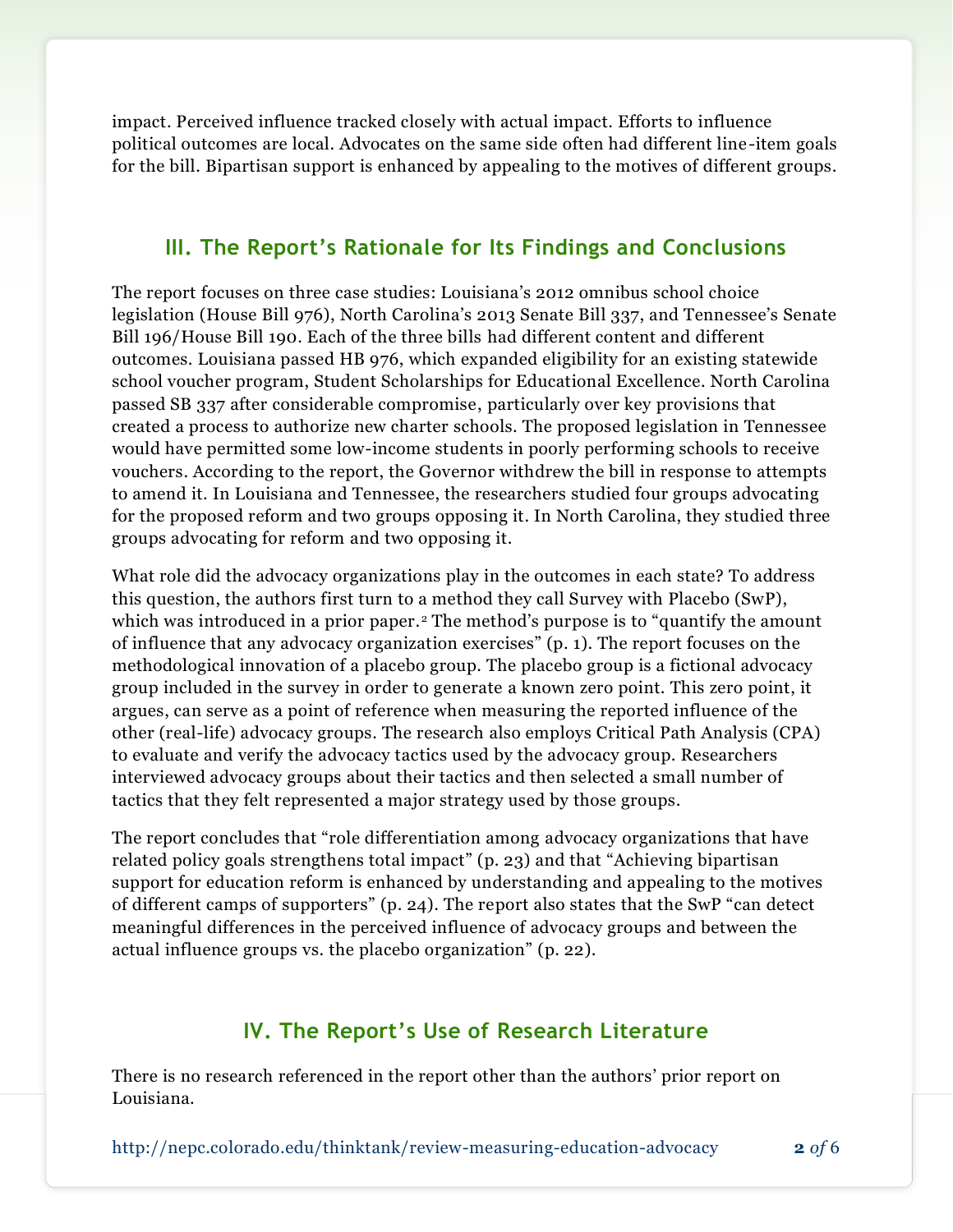impact. Perceived influence tracked closely with actual impact. Efforts to influence political outcomes are local. Advocates on the same side often had different line-item goals for the bill. Bipartisan support is enhanced by appealing to the motives of different groups.

#### **III. The Report's Rationale for Its Findings and Conclusions**

The report focuses on three case studies: Louisiana's 2012 omnibus school choice legislation (House Bill 976), North Carolina's 2013 Senate Bill 337, and Tennessee's Senate Bill 196/House Bill 190. Each of the three bills had different content and different outcomes. Louisiana passed HB 976, which expanded eligibility for an existing statewide school voucher program, Student Scholarships for Educational Excellence. North Carolina passed SB 337 after considerable compromise, particularly over key provisions that created a process to authorize new charter schools. The proposed legislation in Tennessee would have permitted some low-income students in poorly performing schools to receive vouchers. According to the report, the Governor withdrew the bill in response to attempts to amend it. In Louisiana and Tennessee, the researchers studied four groups advocating for the proposed reform and two groups opposing it. In North Carolina, they studied three groups advocating for reform and two opposing it.

What role did the advocacy organizations play in the outcomes in each state? To address this question, the authors first turn to a method they call Survey with Placebo (SwP), which was introduced in a prior paper.<sup>2</sup> The method's purpose is to "quantify the amount of influence that any advocacy organization exercises" (p. 1). The report focuses on the methodological innovation of a placebo group. The placebo group is a fictional advocacy group included in the survey in order to generate a known zero point. This zero point, it argues, can serve as a point of reference when measuring the reported influence of the other (real-life) advocacy groups. The research also employs Critical Path Analysis (CPA) to evaluate and verify the advocacy tactics used by the advocacy group. Researchers interviewed advocacy groups about their tactics and then selected a small number of tactics that they felt represented a major strategy used by those groups.

The report concludes that "role differentiation among advocacy organizations that have related policy goals strengthens total impact" (p. 23) and that "Achieving bipartisan support for education reform is enhanced by understanding and appealing to the motives of different camps of supporters" (p. 24). The report also states that the SwP "can detect meaningful differences in the perceived influence of advocacy groups and between the actual influence groups vs. the placebo organization" (p. 22).

#### **IV. The Report's Use of Research Literature**

There is no research referenced in the report other than the authors' prior report on Louisiana.

<http://nepc.colorado.edu/thinktank/review-measuring-education-advocacy> **2** *of* 6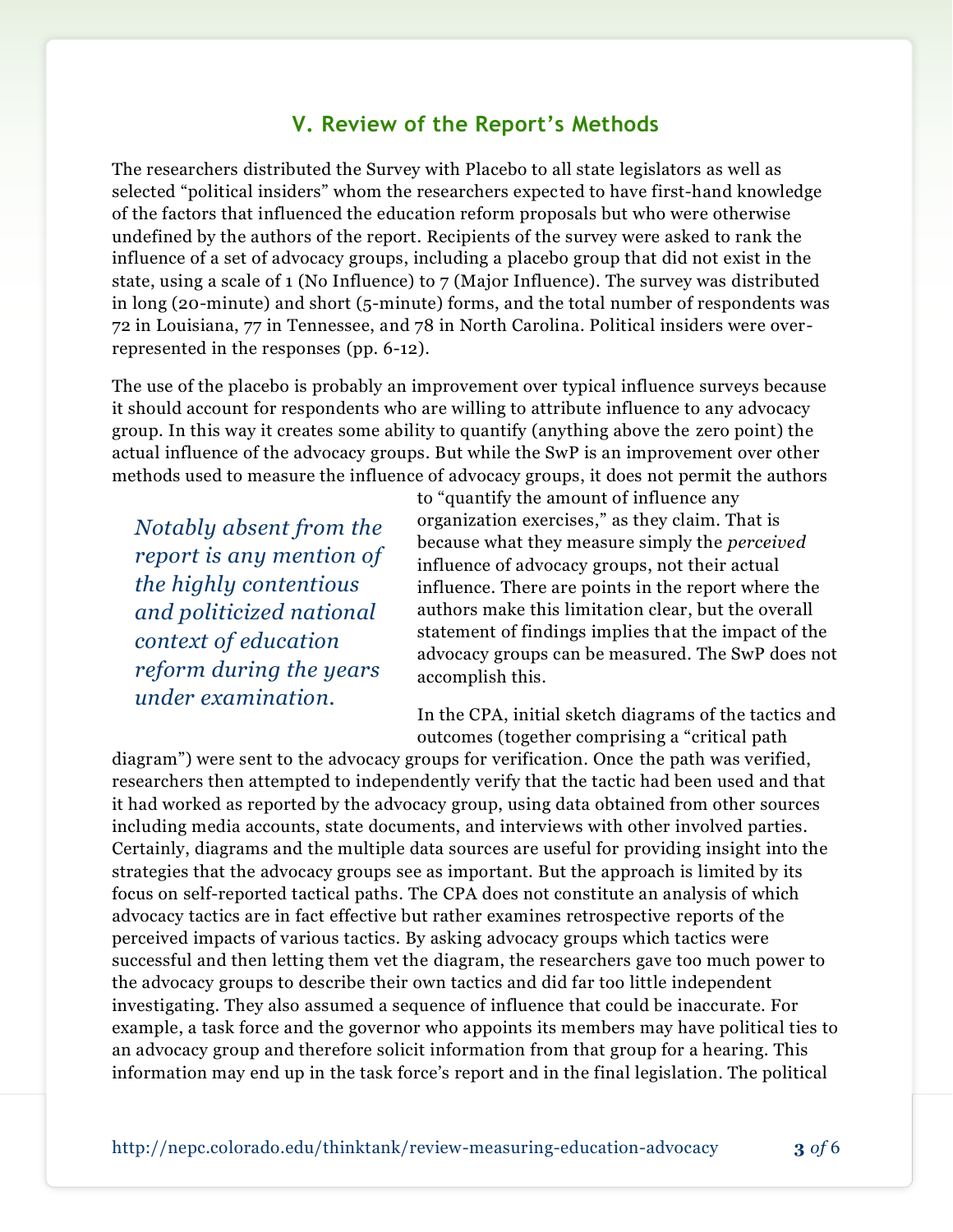#### **V. Review of the Report's Methods**

The researchers distributed the Survey with Placebo to all state legislators as well as selected "political insiders" whom the researchers expected to have first-hand knowledge of the factors that influenced the education reform proposals but who were otherwise undefined by the authors of the report. Recipients of the survey were asked to rank the influence of a set of advocacy groups, including a placebo group that did not exist in the state, using a scale of 1 (No Influence) to 7 (Major Influence). The survey was distributed in long (20-minute) and short (5-minute) forms, and the total number of respondents was 72 in Louisiana, 77 in Tennessee, and 78 in North Carolina. Political insiders were overrepresented in the responses (pp. 6-12).

The use of the placebo is probably an improvement over typical influence surveys because it should account for respondents who are willing to attribute influence to any advocacy group. In this way it creates some ability to quantify (anything above the zero point) the actual influence of the advocacy groups. But while the SwP is an improvement over other methods used to measure the influence of advocacy groups, it does not permit the authors

*Notably absent from the report is any mention of the highly contentious and politicized national context of education reform during the years under examination.*

to "quantify the amount of influence any organization exercises," as they claim. That is because what they measure simply the *perceived* influence of advocacy groups, not their actual influence. There are points in the report where the authors make this limitation clear, but the overall statement of findings implies that the impact of the advocacy groups can be measured. The SwP does not accomplish this.

In the CPA, initial sketch diagrams of the tactics and outcomes (together comprising a "critical path

diagram") were sent to the advocacy groups for verification. Once the path was verified, researchers then attempted to independently verify that the tactic had been used and that it had worked as reported by the advocacy group, using data obtained from other sources including media accounts, state documents, and interviews with other involved parties. Certainly, diagrams and the multiple data sources are useful for providing insight into the strategies that the advocacy groups see as important. But the approach is limited by its focus on self-reported tactical paths. The CPA does not constitute an analysis of which advocacy tactics are in fact effective but rather examines retrospective reports of the perceived impacts of various tactics. By asking advocacy groups which tactics were successful and then letting them vet the diagram, the researchers gave too much power to the advocacy groups to describe their own tactics and did far too little independent investigating. They also assumed a sequence of influence that could be inaccurate. For example, a task force and the governor who appoints its members may have political ties to an advocacy group and therefore solicit information from that group for a hearing. This information may end up in the task force's report and in the final legislation. The political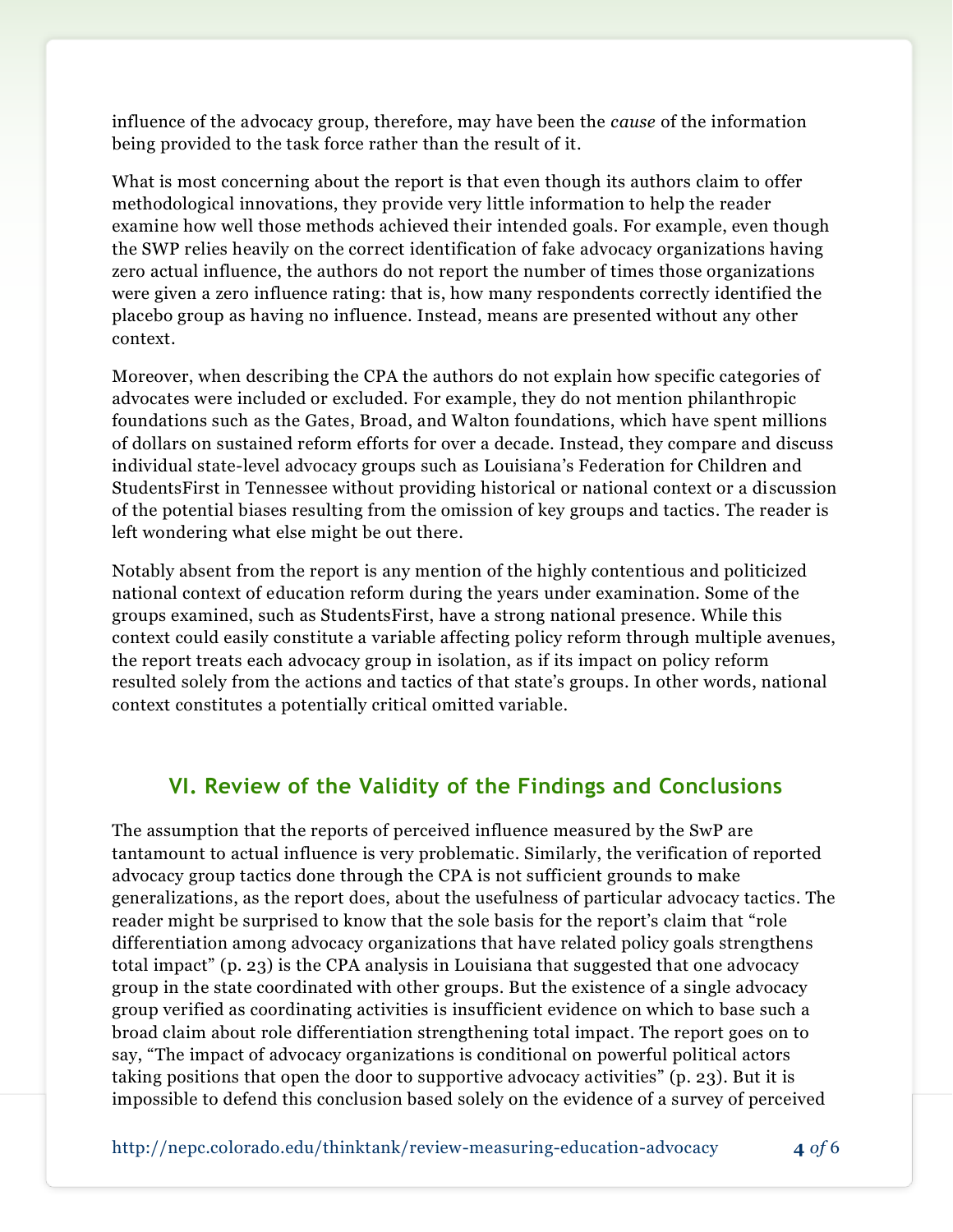influence of the advocacy group, therefore, may have been the *cause* of the information being provided to the task force rather than the result of it.

What is most concerning about the report is that even though its authors claim to offer methodological innovations, they provide very little information to help the reader examine how well those methods achieved their intended goals. For example, even though the SWP relies heavily on the correct identification of fake advocacy organizations having zero actual influence, the authors do not report the number of times those organizations were given a zero influence rating: that is, how many respondents correctly identified the placebo group as having no influence. Instead, means are presented without any other context.

Moreover, when describing the CPA the authors do not explain how specific categories of advocates were included or excluded. For example, they do not mention philanthropic foundations such as the Gates, Broad, and Walton foundations, which have spent millions of dollars on sustained reform efforts for over a decade. Instead, they compare and discuss individual state-level advocacy groups such as Louisiana's Federation for Children and StudentsFirst in Tennessee without providing historical or national context or a discussion of the potential biases resulting from the omission of key groups and tactics. The reader is left wondering what else might be out there.

Notably absent from the report is any mention of the highly contentious and politicized national context of education reform during the years under examination. Some of the groups examined, such as StudentsFirst, have a strong national presence. While this context could easily constitute a variable affecting policy reform through multiple avenues, the report treats each advocacy group in isolation, as if its impact on policy reform resulted solely from the actions and tactics of that state's groups. In other words, national context constitutes a potentially critical omitted variable.

#### **VI. Review of the Validity of the Findings and Conclusions**

The assumption that the reports of perceived influence measured by the SwP are tantamount to actual influence is very problematic. Similarly, the verification of reported advocacy group tactics done through the CPA is not sufficient grounds to make generalizations, as the report does, about the usefulness of particular advocacy tactics. The reader might be surprised to know that the sole basis for the report's claim that "role differentiation among advocacy organizations that have related policy goals strengthens total impact" (p. 23) is the CPA analysis in Louisiana that suggested that one advocacy group in the state coordinated with other groups. But the existence of a single advocacy group verified as coordinating activities is insufficient evidence on which to base such a broad claim about role differentiation strengthening total impact. The report goes on to say, "The impact of advocacy organizations is conditional on powerful political actors taking positions that open the door to supportive advocacy activities" (p. 23). But it is impossible to defend this conclusion based solely on the evidence of a survey of perceived

<http://nepc.colorado.edu/thinktank/review-measuring-education-advocacy> **4** *of* 6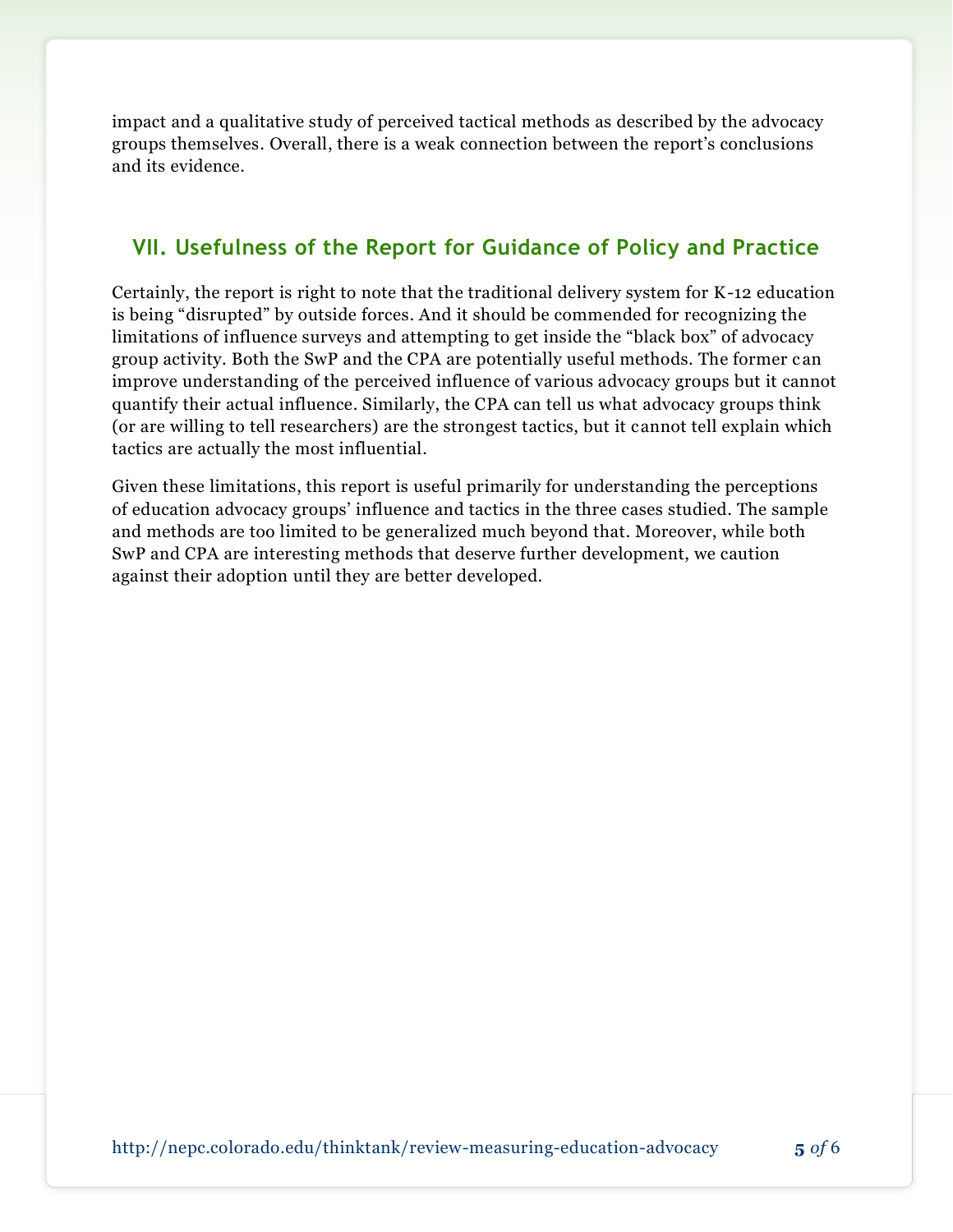impact and a qualitative study of perceived tactical methods as described by the advocacy groups themselves. Overall, there is a weak connection between the report's conclusions and its evidence.

#### **VII. Usefulness of the Report for Guidance of Policy and Practice**

Certainly, the report is right to note that the traditional delivery system for K-12 education is being "disrupted" by outside forces. And it should be commended for recognizing the limitations of influence surveys and attempting to get inside the "black box" of advocacy group activity. Both the SwP and the CPA are potentially useful methods. The former c an improve understanding of the perceived influence of various advocacy groups but it cannot quantify their actual influence. Similarly, the CPA can tell us what advocacy groups think (or are willing to tell researchers) are the strongest tactics, but it cannot tell explain which tactics are actually the most influential.

Given these limitations, this report is useful primarily for understanding the perceptions of education advocacy groups' influence and tactics in the three cases studied. The sample and methods are too limited to be generalized much beyond that. Moreover, while both SwP and CPA are interesting methods that deserve further development, we caution against their adoption until they are better developed.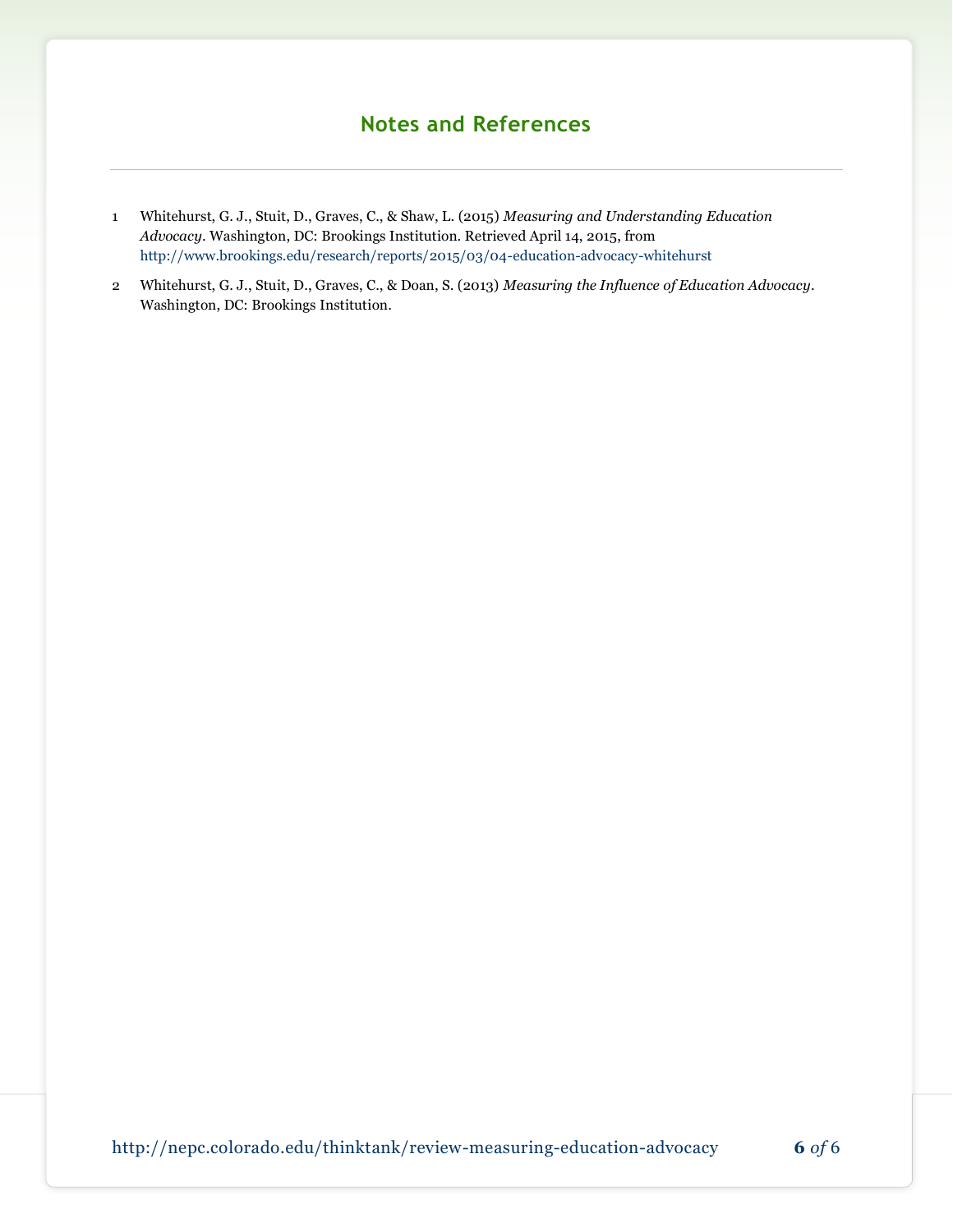### **Notes and References**

- 1 Whitehurst, G. J., Stuit, D., Graves, C., & Shaw, L. (2015) *Measuring and Understanding Education Advocacy*. Washington, DC: Brookings Institution. Retrieved April 14, 2015, from <http://www.brookings.edu/research/reports/2015/03/04-education-advocacy-whitehurst>
- 2 Whitehurst, G. J., Stuit, D., Graves, C., & Doan, S. (2013) *Measuring the Influence of Education Advocacy*. Washington, DC: Brookings Institution.